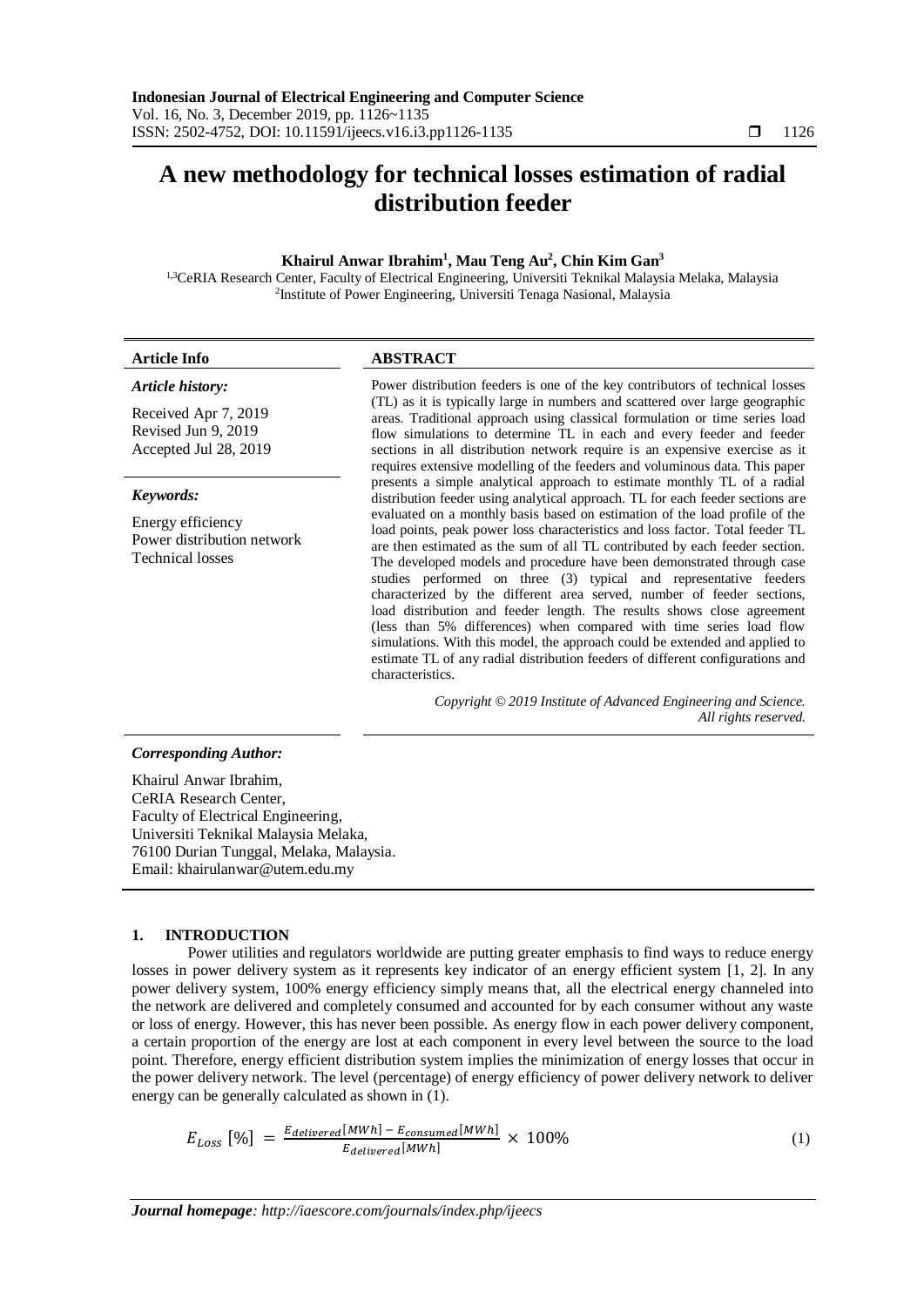# **A new methodology for technical losses estimation of radial distribution feeder**

## **Khairul Anwar Ibrahim<sup>1</sup> , Mau Teng Au<sup>2</sup> , Chin Kim Gan<sup>3</sup>**

<sup>1,3</sup>CeRIA Research Center, Faculty of Electrical Engineering, Universiti Teknikal Malaysia Melaka, Malaysia 2 Institute of Power Engineering, Universiti Tenaga Nasional, Malaysia

| <b>Article Info</b>                                                                                                                                                                                          | <b>ABSTRACT</b>                                                                                                                                                                                                                                                                                                                                                                                                                                                                                                                                                                                                                                                                                                                                                                                                                                                                                                                                                                                                                                                                                                                                    |  |  |  |  |
|--------------------------------------------------------------------------------------------------------------------------------------------------------------------------------------------------------------|----------------------------------------------------------------------------------------------------------------------------------------------------------------------------------------------------------------------------------------------------------------------------------------------------------------------------------------------------------------------------------------------------------------------------------------------------------------------------------------------------------------------------------------------------------------------------------------------------------------------------------------------------------------------------------------------------------------------------------------------------------------------------------------------------------------------------------------------------------------------------------------------------------------------------------------------------------------------------------------------------------------------------------------------------------------------------------------------------------------------------------------------------|--|--|--|--|
| Article history:<br>Received Apr 7, 2019<br>Revised Jun 9, 2019<br>Accepted Jul 28, 2019                                                                                                                     | Power distribution feeders is one of the key contributors of technical losses<br>(TL) as it is typically large in numbers and scattered over large geographic<br>areas. Traditional approach using classical formulation or time series load<br>flow simulations to determine TL in each and every feeder and feeder<br>sections in all distribution network require is an expensive exercise as it                                                                                                                                                                                                                                                                                                                                                                                                                                                                                                                                                                                                                                                                                                                                                |  |  |  |  |
| Keywords:<br>Energy efficiency<br>Power distribution network<br><b>Technical losses</b>                                                                                                                      | requires extensive modelling of the feeders and voluminous data. This paper<br>presents a simple analytical approach to estimate monthly TL of a radial<br>distribution feeder using analytical approach. TL for each feeder sections are<br>evaluated on a monthly basis based on estimation of the load profile of the<br>load points, peak power loss characteristics and loss factor. Total feeder TL<br>are then estimated as the sum of all TL contributed by each feeder section.<br>The developed models and procedure have been demonstrated through case<br>studies performed on three (3) typical and representative feeders<br>characterized by the different area served, number of feeder sections,<br>load distribution and feeder length. The results shows close agreement<br>(less than 5% differences) when compared with time series load flow<br>simulations. With this model, the approach could be extended and applied to<br>estimate TL of any radial distribution feeders of different configurations and<br>characteristics.<br>Copyright © 2019 Institute of Advanced Engineering and Science.<br>All rights reserved. |  |  |  |  |
| <b>Corresponding Author:</b>                                                                                                                                                                                 |                                                                                                                                                                                                                                                                                                                                                                                                                                                                                                                                                                                                                                                                                                                                                                                                                                                                                                                                                                                                                                                                                                                                                    |  |  |  |  |
| Khairul Anwar Ibrahim.<br>CeRIA Research Center,<br>Faculty of Electrical Engineering,<br>Universiti Teknikal Malaysia Melaka,<br>76100 Durian Tunggal, Melaka, Malaysia.<br>Email: khairulanwar@utem.edu.my |                                                                                                                                                                                                                                                                                                                                                                                                                                                                                                                                                                                                                                                                                                                                                                                                                                                                                                                                                                                                                                                                                                                                                    |  |  |  |  |

## **1. INTRODUCTION**

Power utilities and regulators worldwide are putting greater emphasis to find ways to reduce energy losses in power delivery system as it represents key indicator of an energy efficient system [1, 2]. In any power delivery system, 100% energy efficiency simply means that, all the electrical energy channeled into the network are delivered and completely consumed and accounted for by each consumer without any waste or loss of energy. However, this has never been possible. As energy flow in each power delivery component, a certain proportion of the energy are lost at each component in every level between the source to the load point. Therefore, energy efficient distribution system implies the minimization of energy losses that occur in the power delivery network. The level (percentage) of energy efficiency of power delivery network to deliver energy can be generally calculated as shown in (1).

$$
E_{Loss} [\%] = \frac{E_{delivered}[MWh] - E_{consumed}[MWh]}{E_{delivered}[MWh]} \times 100\%
$$
\n
$$
\tag{1}
$$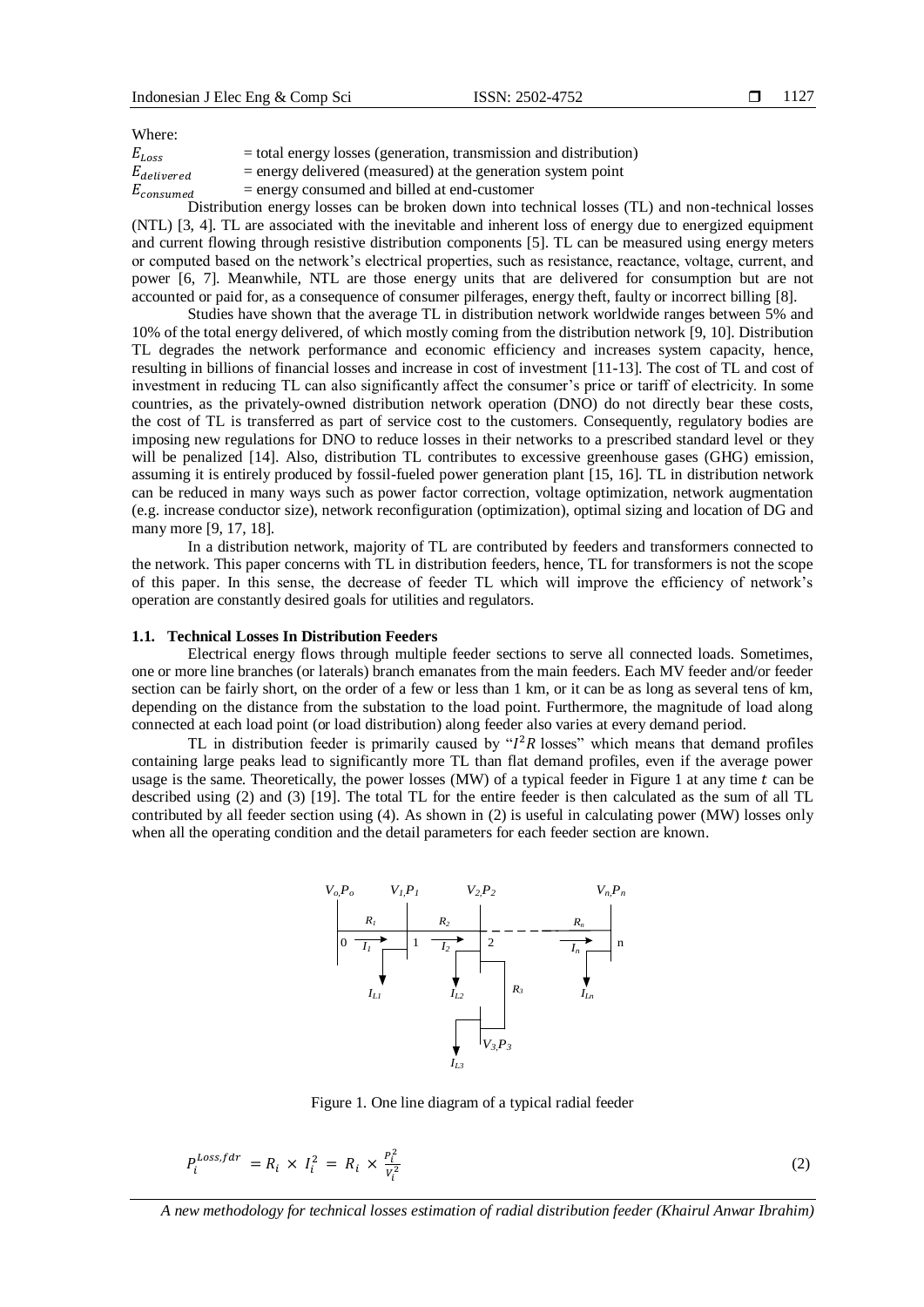Where:

| $E_{Loss}$      | $=$ total energy losses (generation, transmission and distribution) |
|-----------------|---------------------------------------------------------------------|
| $E_{delivered}$ | $=$ energy delivered (measured) at the generation system point      |
| $E_{consumed}$  | $=$ energy consumed and billed at end-customer                      |

Distribution energy losses can be broken down into technical losses (TL) and non-technical losses (NTL) [3, 4]. TL are associated with the inevitable and inherent loss of energy due to energized equipment and current flowing through resistive distribution components [5]. TL can be measured using energy meters or computed based on the network's electrical properties, such as resistance, reactance, voltage, current, and power [6, 7]. Meanwhile, NTL are those energy units that are delivered for consumption but are not accounted or paid for, as a consequence of consumer pilferages, energy theft, faulty or incorrect billing [8].

Studies have shown that the average TL in distribution network worldwide ranges between 5% and 10% of the total energy delivered, of which mostly coming from the distribution network [9, 10]. Distribution TL degrades the network performance and economic efficiency and increases system capacity, hence, resulting in billions of financial losses and increase in cost of investment [11-13]. The cost of TL and cost of investment in reducing TL can also significantly affect the consumer's price or tariff of electricity. In some countries, as the privately-owned distribution network operation (DNO) do not directly bear these costs, the cost of TL is transferred as part of service cost to the customers. Consequently, regulatory bodies are imposing new regulations for DNO to reduce losses in their networks to a prescribed standard level or they will be penalized [14]. Also, distribution TL contributes to excessive greenhouse gases (GHG) emission, assuming it is entirely produced by fossil-fueled power generation plant [15, 16]. TL in distribution network can be reduced in many ways such as power factor correction, voltage optimization, network augmentation (e.g. increase conductor size), network reconfiguration (optimization), optimal sizing and location of DG and many more [9, 17, 18].

In a distribution network, majority of TL are contributed by feeders and transformers connected to the network. This paper concerns with TL in distribution feeders, hence, TL for transformers is not the scope of this paper. In this sense, the decrease of feeder TL which will improve the efficiency of network's operation are constantly desired goals for utilities and regulators.

### **1.1. Technical Losses In Distribution Feeders**

Electrical energy flows through multiple feeder sections to serve all connected loads. Sometimes, one or more line branches (or laterals) branch emanates from the main feeders. Each MV feeder and/or feeder section can be fairly short, on the order of a few or less than 1 km, or it can be as long as several tens of km, depending on the distance from the substation to the load point. Furthermore, the magnitude of load along connected at each load point (or load distribution) along feeder also varies at every demand period.

TL in distribution feeder is primarily caused by " $I^2R$  losses" which means that demand profiles containing large peaks lead to significantly more TL than flat demand profiles, even if the average power usage is the same. Theoretically, the power losses (MW) of a typical feeder in Figure 1 at any time  $t$  can be described using (2) and (3) [19]. The total TL for the entire feeder is then calculated as the sum of all TL contributed by all feeder section using (4). As shown in (2) is useful in calculating power (MW) losses only when all the operating condition and the detail parameters for each feeder section are known.



Figure 1. One line diagram of a typical radial feeder

$$
P_i^{Loss, fdr} = R_i \times I_i^2 = R_i \times \frac{P_i^2}{V_i^2}
$$
\n
$$
(2)
$$

*A new methodology for technical losses estimation of radial distribution feeder (Khairul Anwar Ibrahim)*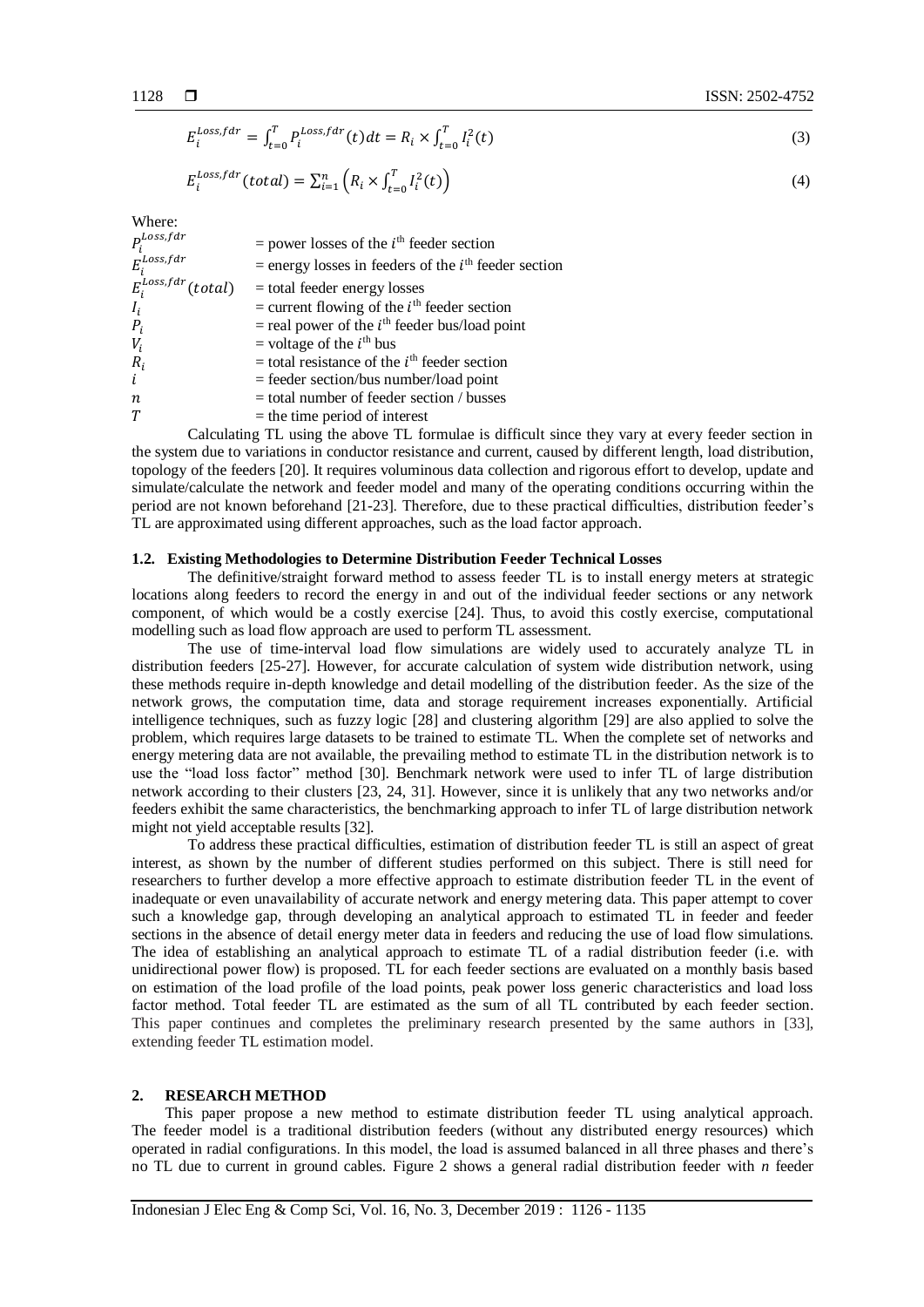$$
E_i^{Loss, fdr} = \int_{t=0}^{T} P_i^{Loss, fdr}(t)dt = R_i \times \int_{t=0}^{T} I_i^2(t)
$$
\n(3)

$$
E_i^{Loss, fdr}(total) = \sum_{i=1}^{n} \left( R_i \times \int_{t=0}^{T} I_i^2(t) \right)
$$
\n(4)

Where:

| $P_i^{Loss, fdr}$        | $=$ power losses of the $ith$ feeder section             |
|--------------------------|----------------------------------------------------------|
| $E_i^{Loss, fdr}$        | $=$ energy losses in feeders of the $ith$ feeder section |
| $E_i^{Loss, fdr}(total)$ | $=$ total feeder energy losses                           |
| $I_i$                    | = current flowing of the $ith$ feeder section            |
| $P_i$                    | $=$ real power of the $ith$ feeder bus/load point        |
| $V_i$                    | = voltage of the $ith$ bus                               |
| $R_i$                    | $=$ total resistance of the $ith$ feeder section         |
| i                        | $=$ feeder section/bus number/load point                 |
| $\boldsymbol{n}$         | $=$ total number of feeder section / busses              |
| T                        | $=$ the time period of interest                          |

Calculating TL using the above TL formulae is difficult since they vary at every feeder section in the system due to variations in conductor resistance and current, caused by different length, load distribution, topology of the feeders [20]. It requires voluminous data collection and rigorous effort to develop, update and simulate/calculate the network and feeder model and many of the operating conditions occurring within the period are not known beforehand [21-23]. Therefore, due to these practical difficulties, distribution feeder's TL are approximated using different approaches, such as the load factor approach.

## **1.2. Existing Methodologies to Determine Distribution Feeder Technical Losses**

The definitive/straight forward method to assess feeder TL is to install energy meters at strategic locations along feeders to record the energy in and out of the individual feeder sections or any network component, of which would be a costly exercise [24]. Thus, to avoid this costly exercise, computational modelling such as load flow approach are used to perform TL assessment.

The use of time-interval load flow simulations are widely used to accurately analyze TL in distribution feeders [25-27]. However, for accurate calculation of system wide distribution network, using these methods require in-depth knowledge and detail modelling of the distribution feeder. As the size of the network grows, the computation time, data and storage requirement increases exponentially. Artificial intelligence techniques, such as fuzzy logic [28] and clustering algorithm [29] are also applied to solve the problem, which requires large datasets to be trained to estimate TL. When the complete set of networks and energy metering data are not available, the prevailing method to estimate TL in the distribution network is to use the "load loss factor" method [30]. Benchmark network were used to infer TL of large distribution network according to their clusters [23, 24, 31]. However, since it is unlikely that any two networks and/or feeders exhibit the same characteristics, the benchmarking approach to infer TL of large distribution network might not yield acceptable results [32].

To address these practical difficulties, estimation of distribution feeder TL is still an aspect of great interest, as shown by the number of different studies performed on this subject. There is still need for researchers to further develop a more effective approach to estimate distribution feeder TL in the event of inadequate or even unavailability of accurate network and energy metering data. This paper attempt to cover such a knowledge gap, through developing an analytical approach to estimated TL in feeder and feeder sections in the absence of detail energy meter data in feeders and reducing the use of load flow simulations. The idea of establishing an analytical approach to estimate TL of a radial distribution feeder (i.e. with unidirectional power flow) is proposed. TL for each feeder sections are evaluated on a monthly basis based on estimation of the load profile of the load points, peak power loss generic characteristics and load loss factor method. Total feeder TL are estimated as the sum of all TL contributed by each feeder section. This paper continues and completes the preliminary research presented by the same authors in [33], extending feeder TL estimation model.

## **2. RESEARCH METHOD**

This paper propose a new method to estimate distribution feeder TL using analytical approach. The feeder model is a traditional distribution feeders (without any distributed energy resources) which operated in radial configurations. In this model, the load is assumed balanced in all three phases and there's no TL due to current in ground cables. Figure 2 shows a general radial distribution feeder with *n* feeder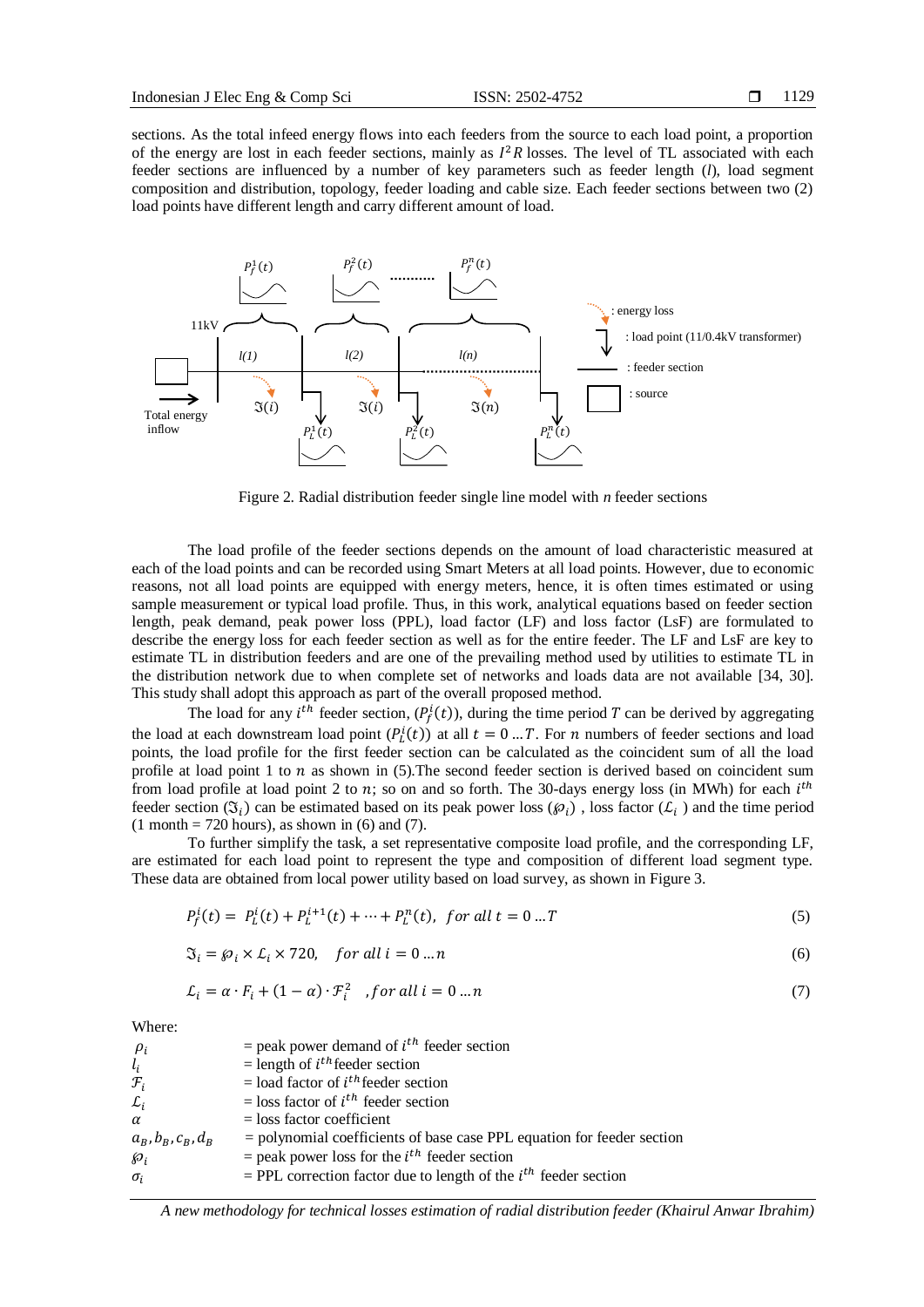sections. As the total infeed energy flows into each feeders from the source to each load point, a proportion of the energy are lost in each feeder sections, mainly as  $I^2R$  losses. The level of TL associated with each feeder sections are influenced by a number of key parameters such as feeder length (*l*), load segment composition and distribution, topology, feeder loading and cable size. Each feeder sections between two (2) load points have different length and carry different amount of load.



Figure 2. Radial distribution feeder single line model with *n* feeder sections

The load profile of the feeder sections depends on the amount of load characteristic measured at each of the load points and can be recorded using Smart Meters at all load points. However, due to economic reasons, not all load points are equipped with energy meters, hence, it is often times estimated or using sample measurement or typical load profile. Thus, in this work, analytical equations based on feeder section length, peak demand, peak power loss (PPL), load factor (LF) and loss factor (LsF) are formulated to describe the energy loss for each feeder section as well as for the entire feeder. The LF and LsF are key to estimate TL in distribution feeders and are one of the prevailing method used by utilities to estimate TL in the distribution network due to when complete set of networks and loads data are not available [34, 30]. This study shall adopt this approach as part of the overall proposed method.

The load for any *i*<sup>th</sup> feeder section,  $(P_f^i(t))$ , during the time period T can be derived by aggregating the load at each downstream load point  $(P_L^i(t))$  at all  $t = 0 ... T$ . For *n* numbers of feeder sections and load points, the load profile for the first feeder section can be calculated as the coincident sum of all the load profile at load point 1 to  $n$  as shown in (5). The second feeder section is derived based on coincident sum from load profile at load point 2 to n; so on and so forth. The 30-days energy loss (in MWh) for each  $i^{th}$ feeder section  $(\mathfrak{I}_i)$  can be estimated based on its peak power loss  $(\varphi_i)$ , loss factor  $(\mathcal{L}_i)$  and the time period  $(1 \text{ month} = 720 \text{ hours})$ , as shown in  $(6)$  and  $(7)$ .

To further simplify the task, a set representative composite load profile, and the corresponding LF, are estimated for each load point to represent the type and composition of different load segment type. These data are obtained from local power utility based on load survey, as shown in Figure 3.

$$
P_f^i(t) = P_L^i(t) + P_L^{i+1}(t) + \dots + P_L^n(t), \text{ for all } t = 0 \dots T
$$
\n(5)

$$
\mathfrak{I}_i = \wp_i \times \mathcal{L}_i \times 720, \quad \text{for all } i = 0 \dots n \tag{6}
$$

$$
\mathcal{L}_i = \alpha \cdot F_i + (1 - \alpha) \cdot \mathcal{F}_i^2 \quad , \text{for all } i = 0 \dots n \tag{7}
$$

Where:

| $\rho_i$                      | $=$ peak power demand of $ith$ feeder section                            |
|-------------------------------|--------------------------------------------------------------------------|
| $l_i$                         | = length of $i^{th}$ feeder section                                      |
| $\mathcal{F}_i$               | $=$ load factor of $ith$ feeder section                                  |
| $\mathcal{L}_i$               | $=$ loss factor of $ith$ feeder section                                  |
| α                             | $=$ loss factor coefficient                                              |
| $a_R$ , $b_R$ , $c_R$ , $d_R$ | $=$ polynomial coefficients of base case PPL equation for feeder section |
| Ю,                            | $=$ peak power loss for the $ith$ feeder section                         |
| $\sigma_i$                    | = PPL correction factor due to length of the $i^{th}$ feeder section     |
|                               |                                                                          |

*A new methodology for technical losses estimation of radial distribution feeder (Khairul Anwar Ibrahim)*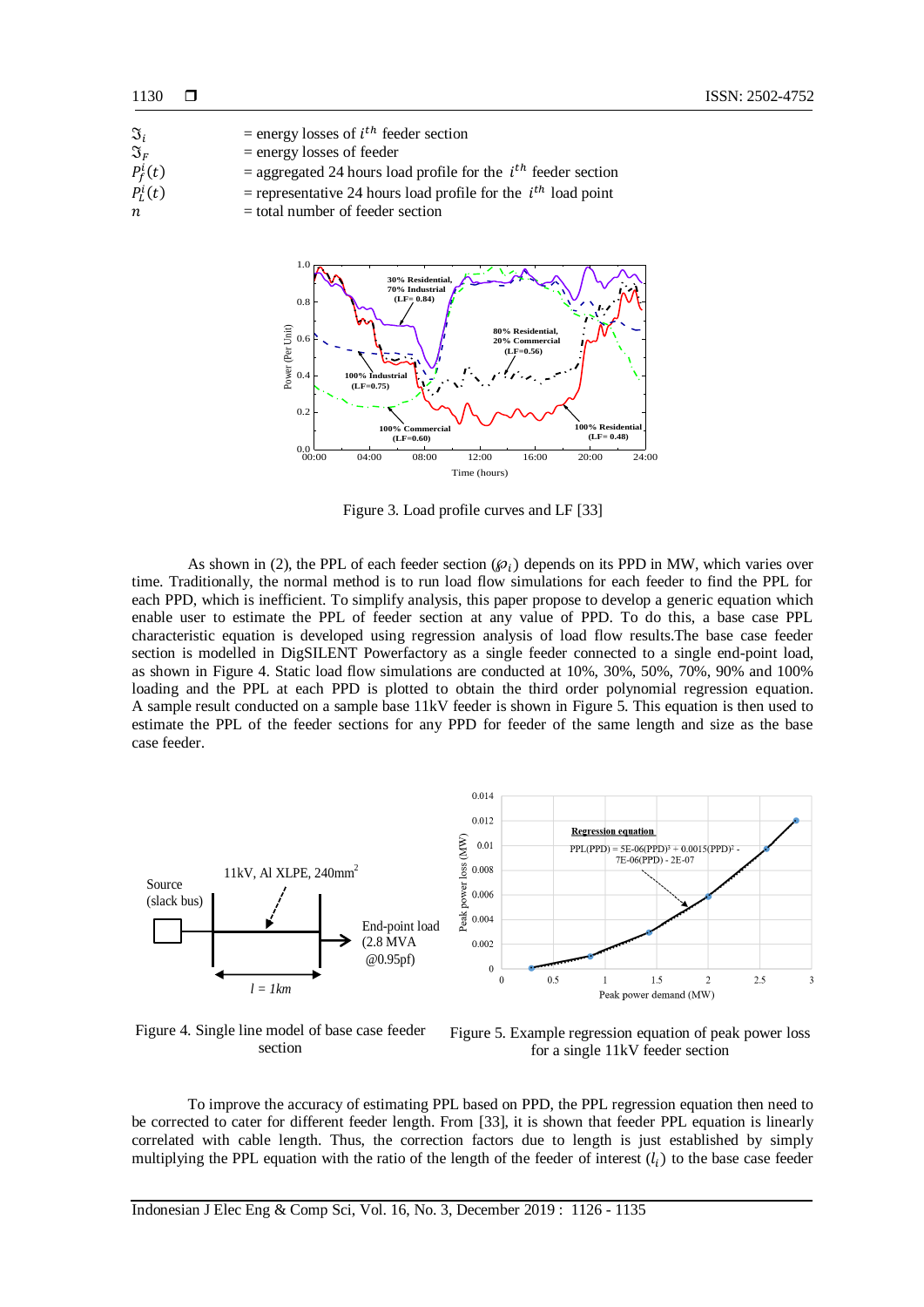| $\mathfrak{I}_i$   | = energy losses of $i^{th}$ feeder section                         |
|--------------------|--------------------------------------------------------------------|
| $\mathfrak{I}_{F}$ | $=$ energy losses of feeder                                        |
| $P_f^i(t)$         | = aggregated 24 hours load profile for the $i^{th}$ feeder section |
| $P_t^i(t)$         | = representative 24 hours load profile for the $i^{th}$ load point |
| n                  | $=$ total number of feeder section                                 |



Figure 3. Load profile curves and LF [33]

As shown in (2), the PPL of each feeder section ( $\varphi_i$ ) depends on its PPD in MW, which varies over time. Traditionally, the normal method is to run load flow simulations for each feeder to find the PPL for each PPD, which is inefficient. To simplify analysis, this paper propose to develop a generic equation which enable user to estimate the PPL of feeder section at any value of PPD. To do this, a base case PPL characteristic equation is developed using regression analysis of load flow results.The base case feeder section is modelled in DigSILENT Powerfactory as a single feeder connected to a single end-point load, as shown in Figure 4. Static load flow simulations are conducted at 10%, 30%, 50%, 70%, 90% and 100% loading and the PPL at each PPD is plotted to obtain the third order polynomial regression equation. A sample result conducted on a sample base 11kV feeder is shown in Figure 5. This equation is then used to estimate the PPL of the feeder sections for any PPD for feeder of the same length and size as the base case feeder.



Figure 4. Single line model of base case feeder section

Figure 5. Example regression equation of peak power loss for a single 11kV feeder section

To improve the accuracy of estimating PPL based on PPD, the PPL regression equation then need to be corrected to cater for different feeder length. From [33], it is shown that feeder PPL equation is linearly correlated with cable length. Thus, the correction factors due to length is just established by simply multiplying the PPL equation with the ratio of the length of the feeder of interest  $(l_i)$  to the base case feeder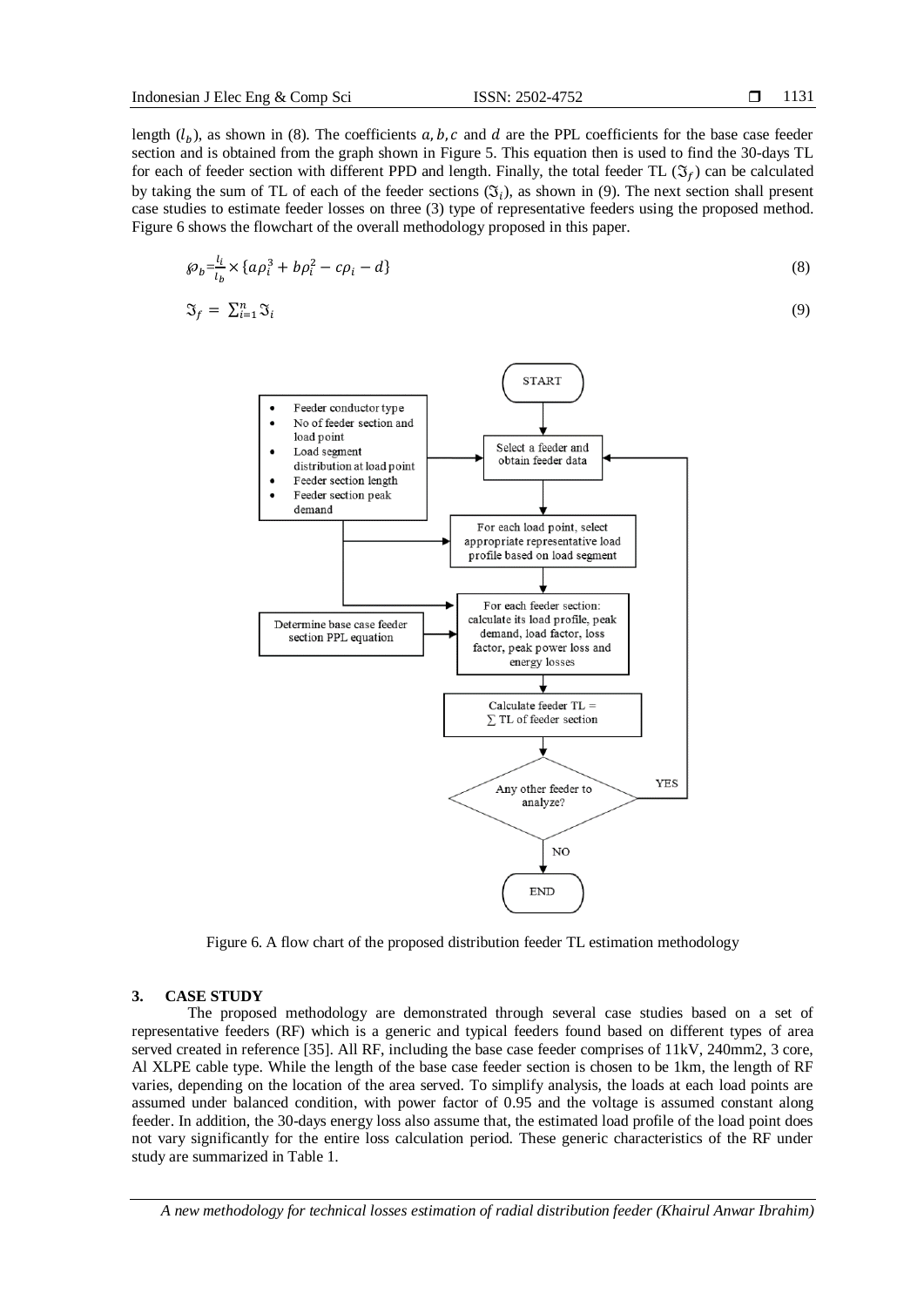length  $(l_b)$ , as shown in (8). The coefficients a, b, c and d are the PPL coefficients for the base case feeder section and is obtained from the graph shown in Figure 5. This equation then is used to find the 30-days TL for each of feeder section with different PPD and length. Finally, the total feeder TL  $(\mathfrak{I}_f)$  can be calculated by taking the sum of TL of each of the feeder sections  $(\mathfrak{F}_i)$ , as shown in (9). The next section shall present case studies to estimate feeder losses on three (3) type of representative feeders using the proposed method. Figure 6 shows the flowchart of the overall methodology proposed in this paper.

$$
\wp_b \frac{l_i}{l_b} \times \{a\rho_i^3 + b\rho_i^2 - c\rho_i - d\} \tag{8}
$$

$$
\mathfrak{I}_f = \sum_{i=1}^n \mathfrak{I}_i \tag{9}
$$



Figure 6. A flow chart of the proposed distribution feeder TL estimation methodology

#### **3. CASE STUDY**

The proposed methodology are demonstrated through several case studies based on a set of representative feeders (RF) which is a generic and typical feeders found based on different types of area served created in reference [35]. All RF, including the base case feeder comprises of 11kV, 240mm2, 3 core, Al XLPE cable type. While the length of the base case feeder section is chosen to be 1km, the length of RF varies, depending on the location of the area served. To simplify analysis, the loads at each load points are assumed under balanced condition, with power factor of 0.95 and the voltage is assumed constant along feeder. In addition, the 30-days energy loss also assume that, the estimated load profile of the load point does not vary significantly for the entire loss calculation period. These generic characteristics of the RF under study are summarized in Table 1.

*A new methodology for technical losses estimation of radial distribution feeder (Khairul Anwar Ibrahim)*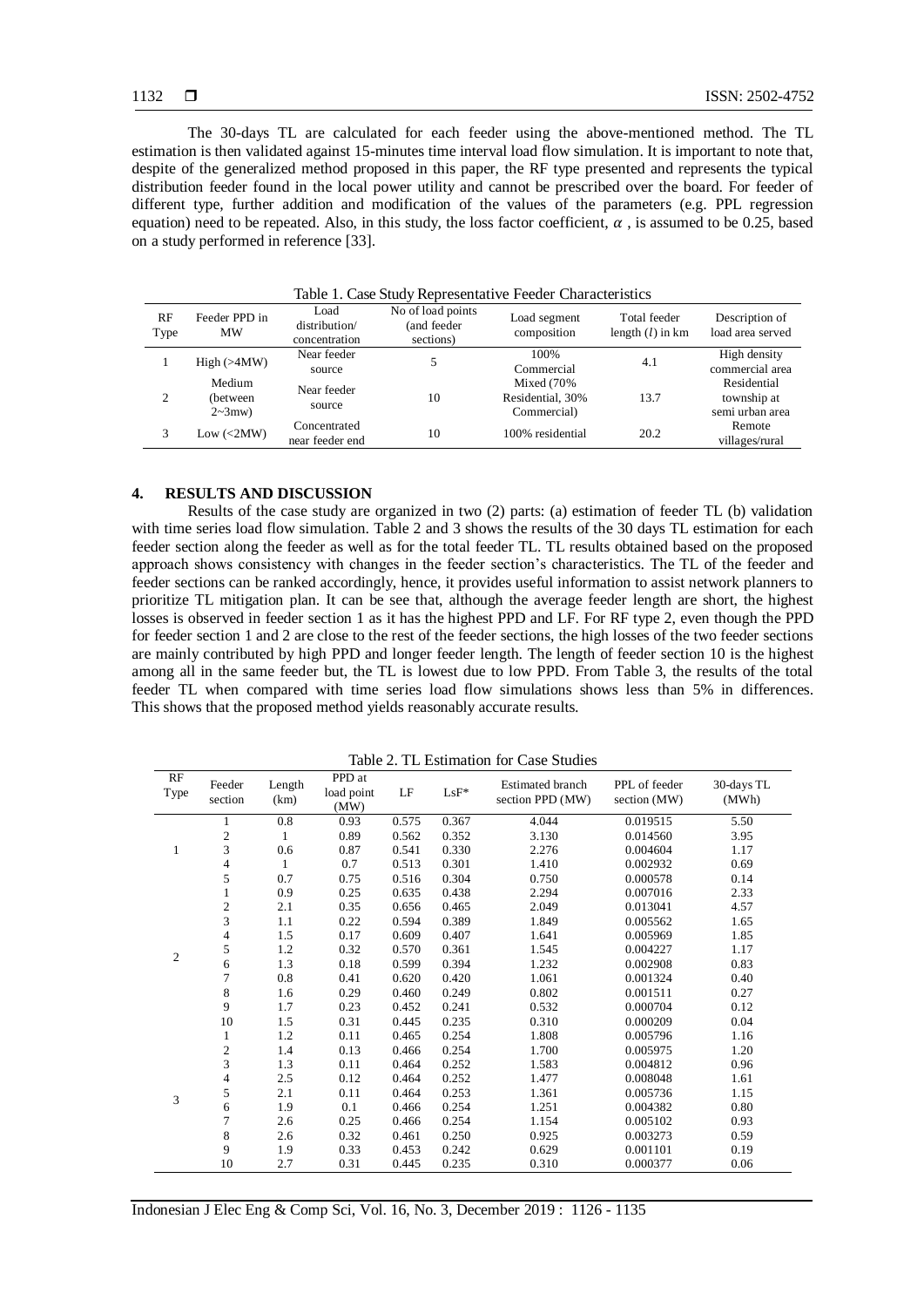The 30-days TL are calculated for each feeder using the above-mentioned method. The TL estimation is then validated against 15-minutes time interval load flow simulation. It is important to note that, despite of the generalized method proposed in this paper, the RF type presented and represents the typical distribution feeder found in the local power utility and cannot be prescribed over the board. For feeder of different type, further addition and modification of the values of the parameters (e.g. PPL regression equation) need to be repeated. Also, in this study, the loss factor coefficient,  $\alpha$ , is assumed to be 0.25, based on a study performed in reference [33].

| RF<br>Type | Feeder PPD in<br>MW                         | Load<br>distribution/<br>concentration | No of load points<br>(and feeder)<br>sections) | Load segment<br>composition                     | Total feeder<br>length $(l)$ in km | Description of<br>load area served            |
|------------|---------------------------------------------|----------------------------------------|------------------------------------------------|-------------------------------------------------|------------------------------------|-----------------------------------------------|
|            | High (>4MW)                                 | Near feeder<br>source                  |                                                | 100%<br>Commercial                              | 4.1                                | High density<br>commercial area               |
| 2          | Medium<br>(between<br>$2 \sim 3$ mw)        | Near feeder<br>source                  | 10                                             | Mixed $(70%$<br>Residential, 30%<br>Commercial) | 13.7                               | Residential<br>township at<br>semi urban area |
|            | Low $\left\langle \text{2MW} \right\rangle$ | Concentrated<br>near feeder end        | 10                                             | 100% residential                                | 20.2                               | Remote<br>villages/rural                      |

Table 1. Case Study Representative Feeder Characteristics

#### **4. RESULTS AND DISCUSSION**

Results of the case study are organized in two (2) parts: (a) estimation of feeder TL (b) validation with time series load flow simulation. Table 2 and 3 shows the results of the 30 days TL estimation for each feeder section along the feeder as well as for the total feeder TL. TL results obtained based on the proposed approach shows consistency with changes in the feeder section's characteristics. The TL of the feeder and feeder sections can be ranked accordingly, hence, it provides useful information to assist network planners to prioritize TL mitigation plan. It can be see that, although the average feeder length are short, the highest losses is observed in feeder section 1 as it has the highest PPD and LF. For RF type 2, even though the PPD for feeder section 1 and 2 are close to the rest of the feeder sections, the high losses of the two feeder sections are mainly contributed by high PPD and longer feeder length. The length of feeder section 10 is the highest among all in the same feeder but, the TL is lowest due to low PPD. From Table 3, the results of the total feeder TL when compared with time series load flow simulations shows less than 5% in differences. This shows that the proposed method yields reasonably accurate results.

Table 2. TL Estimation for Case Studies

| RF<br>Type     | Feeder<br>section       | Length<br>(km) | PPD at<br>load point<br>(MW) | LF    | $LsF*$ | Estimated branch<br>section PPD (MW) | PPL of feeder<br>section (MW) | 30-days TL<br>(MWh) |
|----------------|-------------------------|----------------|------------------------------|-------|--------|--------------------------------------|-------------------------------|---------------------|
|                | 1                       | 0.8            | 0.93                         | 0.575 | 0.367  | 4.044                                | 0.019515                      | 5.50                |
|                | $\overline{c}$          | 1              | 0.89                         | 0.562 | 0.352  | 3.130                                | 0.014560                      | 3.95                |
| 1              | 3                       | 0.6            | 0.87                         | 0.541 | 0.330  | 2.276                                | 0.004604                      | 1.17                |
|                | 4                       | 1              | 0.7                          | 0.513 | 0.301  | 1.410                                | 0.002932                      | 0.69                |
|                | 5                       | 0.7            | 0.75                         | 0.516 | 0.304  | 0.750                                | 0.000578                      | 0.14                |
|                | $\mathbf{1}$            | 0.9            | 0.25                         | 0.635 | 0.438  | 2.294                                | 0.007016                      | 2.33                |
|                | $\mathfrak{2}$          | 2.1            | 0.35                         | 0.656 | 0.465  | 2.049                                | 0.013041                      | 4.57                |
|                | 3                       | 1.1            | 0.22                         | 0.594 | 0.389  | 1.849                                | 0.005562                      | 1.65                |
|                | $\overline{\mathbf{4}}$ | 1.5            | 0.17                         | 0.609 | 0.407  | 1.641                                | 0.005969                      | 1.85                |
| $\mathfrak{2}$ | 5                       | 1.2            | 0.32                         | 0.570 | 0.361  | 1.545                                | 0.004227                      | 1.17                |
|                | 6                       | 1.3            | 0.18                         | 0.599 | 0.394  | 1.232                                | 0.002908                      | 0.83                |
|                | 7                       | 0.8            | 0.41                         | 0.620 | 0.420  | 1.061                                | 0.001324                      | 0.40                |
|                | 8                       | 1.6            | 0.29                         | 0.460 | 0.249  | 0.802                                | 0.001511                      | 0.27                |
|                | 9                       | 1.7            | 0.23                         | 0.452 | 0.241  | 0.532                                | 0.000704                      | 0.12                |
|                | 10                      | 1.5            | 0.31                         | 0.445 | 0.235  | 0.310                                | 0.000209                      | 0.04                |
|                | 1                       | 1.2            | 0.11                         | 0.465 | 0.254  | 1.808                                | 0.005796                      | 1.16                |
|                | $\mathfrak{2}$          | 1.4            | 0.13                         | 0.466 | 0.254  | 1.700                                | 0.005975                      | 1.20                |
|                | 3                       | 1.3            | 0.11                         | 0.464 | 0.252  | 1.583                                | 0.004812                      | 0.96                |
|                | $\overline{4}$          | 2.5            | 0.12                         | 0.464 | 0.252  | 1.477                                | 0.008048                      | 1.61                |
| 3              | 5                       | 2.1            | 0.11                         | 0.464 | 0.253  | 1.361                                | 0.005736                      | 1.15                |
|                | 6                       | 1.9            | 0.1                          | 0.466 | 0.254  | 1.251                                | 0.004382                      | 0.80                |
|                | $\overline{7}$          | 2.6            | 0.25                         | 0.466 | 0.254  | 1.154                                | 0.005102                      | 0.93                |
|                | 8                       | 2.6            | 0.32                         | 0.461 | 0.250  | 0.925                                | 0.003273                      | 0.59                |
|                | 9                       | 1.9            | 0.33                         | 0.453 | 0.242  | 0.629                                | 0.001101                      | 0.19                |
|                | 10                      | 2.7            | 0.31                         | 0.445 | 0.235  | 0.310                                | 0.000377                      | 0.06                |

Indonesian J Elec Eng & Comp Sci, Vol. 16, No. 3, December 2019 : 1126 - 1135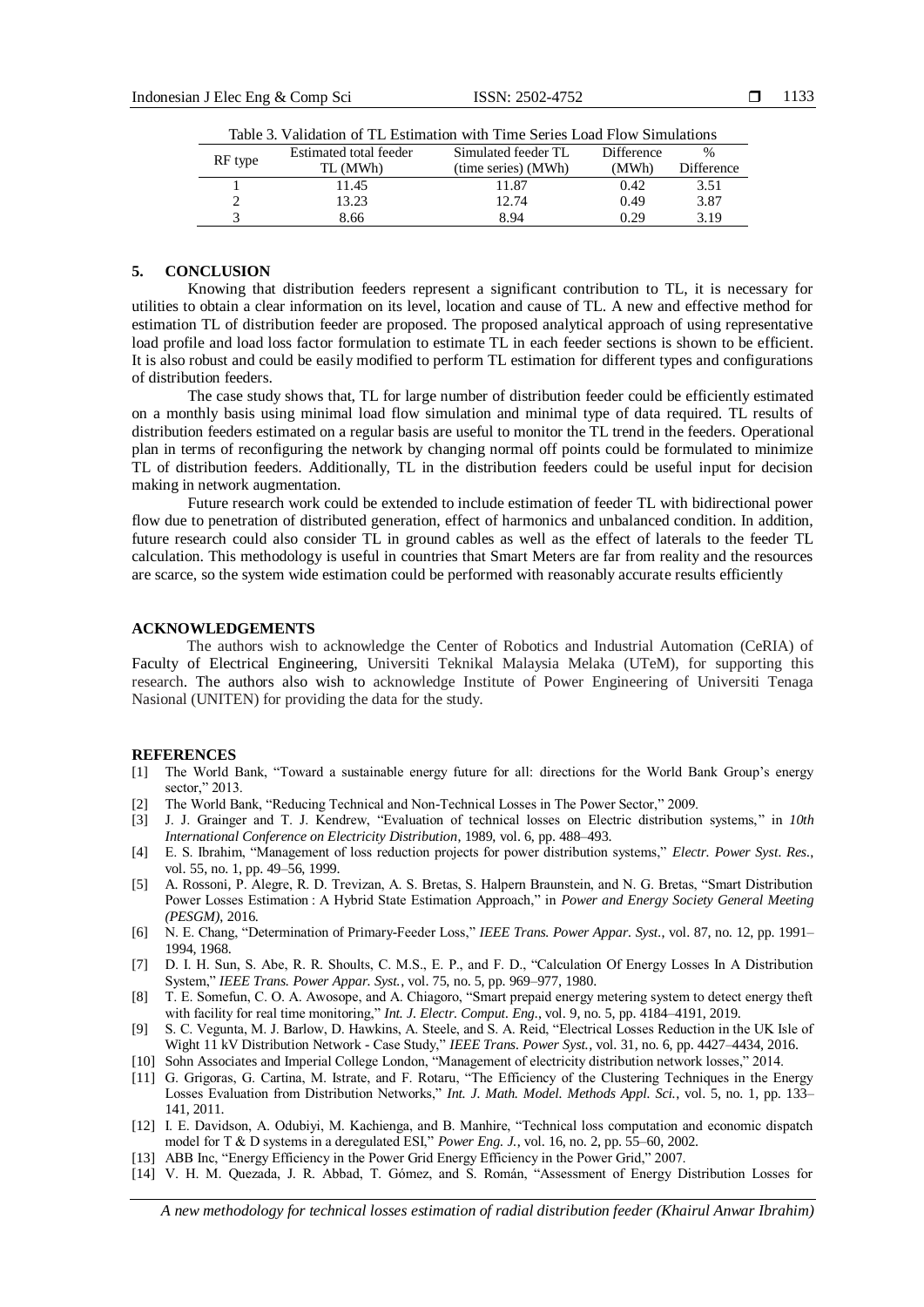| THOTA DI ''MILWARI'YII YI' I'LI LIYMIINMIYII ''IMI' I'LIIY MWILWA IYO''' MILIIMINMIYIN |          |                        |                     |                   |      |  |  |
|----------------------------------------------------------------------------------------|----------|------------------------|---------------------|-------------------|------|--|--|
|                                                                                        |          | Estimated total feeder | Simulated feeder TL | <b>Difference</b> | $\%$ |  |  |
| RF type                                                                                | TL (MWh) | (time series) (MWh)    | (MWh)               | Difference        |      |  |  |
|                                                                                        |          | 11.45                  | 11.87               | 0.42              | 3.51 |  |  |
|                                                                                        |          | 13.23                  | 12.74               | 0.49              | 3.87 |  |  |
|                                                                                        |          | 8.66                   | 8.94                | 0.29              | 3.19 |  |  |
|                                                                                        |          |                        |                     |                   |      |  |  |

Table 3. Validation of TL Estimation with Time Series Load Flow Simulations

#### **5. CONCLUSION**

Knowing that distribution feeders represent a significant contribution to TL, it is necessary for utilities to obtain a clear information on its level, location and cause of TL. A new and effective method for estimation TL of distribution feeder are proposed. The proposed analytical approach of using representative load profile and load loss factor formulation to estimate TL in each feeder sections is shown to be efficient. It is also robust and could be easily modified to perform TL estimation for different types and configurations of distribution feeders.

The case study shows that, TL for large number of distribution feeder could be efficiently estimated on a monthly basis using minimal load flow simulation and minimal type of data required. TL results of distribution feeders estimated on a regular basis are useful to monitor the TL trend in the feeders. Operational plan in terms of reconfiguring the network by changing normal off points could be formulated to minimize TL of distribution feeders. Additionally, TL in the distribution feeders could be useful input for decision making in network augmentation.

Future research work could be extended to include estimation of feeder TL with bidirectional power flow due to penetration of distributed generation, effect of harmonics and unbalanced condition. In addition, future research could also consider TL in ground cables as well as the effect of laterals to the feeder TL calculation. This methodology is useful in countries that Smart Meters are far from reality and the resources are scarce, so the system wide estimation could be performed with reasonably accurate results efficiently

### **ACKNOWLEDGEMENTS**

The authors wish to acknowledge the Center of Robotics and Industrial Automation (CeRIA) of Faculty of Electrical Engineering, Universiti Teknikal Malaysia Melaka (UTeM), for supporting this research. The authors also wish to acknowledge Institute of Power Engineering of Universiti Tenaga Nasional (UNITEN) for providing the data for the study.

### **REFERENCES**

- [1] The World Bank, "Toward a sustainable energy future for all: directions for the World Bank Group's energy sector," 2013.
- [2] The World Bank, "Reducing Technical and Non-Technical Losses in The Power Sector," 2009.
- [3] J. J. Grainger and T. J. Kendrew, "Evaluation of technical losses on Electric distribution systems," in *10th International Conference on Electricity Distribution*, 1989, vol. 6, pp. 488–493.
- [4] E. S. Ibrahim, "Management of loss reduction projects for power distribution systems," *Electr. Power Syst. Res.*, vol. 55, no. 1, pp. 49–56, 1999.
- [5] A. Rossoni, P. Alegre, R. D. Trevizan, A. S. Bretas, S. Halpern Braunstein, and N. G. Bretas, "Smart Distribution Power Losses Estimation : A Hybrid State Estimation Approach," in *Power and Energy Society General Meeting (PESGM)*, 2016.
- [6] N. E. Chang, "Determination of Primary-Feeder Loss," *IEEE Trans. Power Appar. Syst.*, vol. 87, no. 12, pp. 1991– 1994, 1968.
- [7] D. I. H. Sun, S. Abe, R. R. Shoults, C. M.S., E. P., and F. D., "Calculation Of Energy Losses In A Distribution System," *IEEE Trans. Power Appar. Syst.*, vol. 75, no. 5, pp. 969–977, 1980.
- [8] T. E. Somefun, C. O. A. Awosope, and A. Chiagoro, "Smart prepaid energy metering system to detect energy theft with facility for real time monitoring," *Int. J. Electr. Comput. Eng.*, vol. 9, no. 5, pp. 4184–4191, 2019.
- [9] S. C. Vegunta, M. J. Barlow, D. Hawkins, A. Steele, and S. A. Reid, "Electrical Losses Reduction in the UK Isle of Wight 11 kV Distribution Network - Case Study," *IEEE Trans. Power Syst.*, vol. 31, no. 6, pp. 4427–4434, 2016.
- [10] Sohn Associates and Imperial College London, "Management of electricity distribution network losses," 2014.
- [11] G. Grigoras, G. Cartina, M. Istrate, and F. Rotaru, "The Efficiency of the Clustering Techniques in the Energy Losses Evaluation from Distribution Networks," *Int. J. Math. Model. Methods Appl. Sci.*, vol. 5, no. 1, pp. 133– 141, 2011.
- [12] I. E. Davidson, A. Odubiyi, M. Kachienga, and B. Manhire, "Technical loss computation and economic dispatch model for T & D systems in a deregulated ESI," *Power Eng. J.*, vol. 16, no. 2, pp. 55–60, 2002.
- [13] ABB Inc, "Energy Efficiency in the Power Grid Energy Efficiency in the Power Grid," 2007.
- [14] V. H. M. Quezada, J. R. Abbad, T. Gómez, and S. Román, "Assessment of Energy Distribution Losses for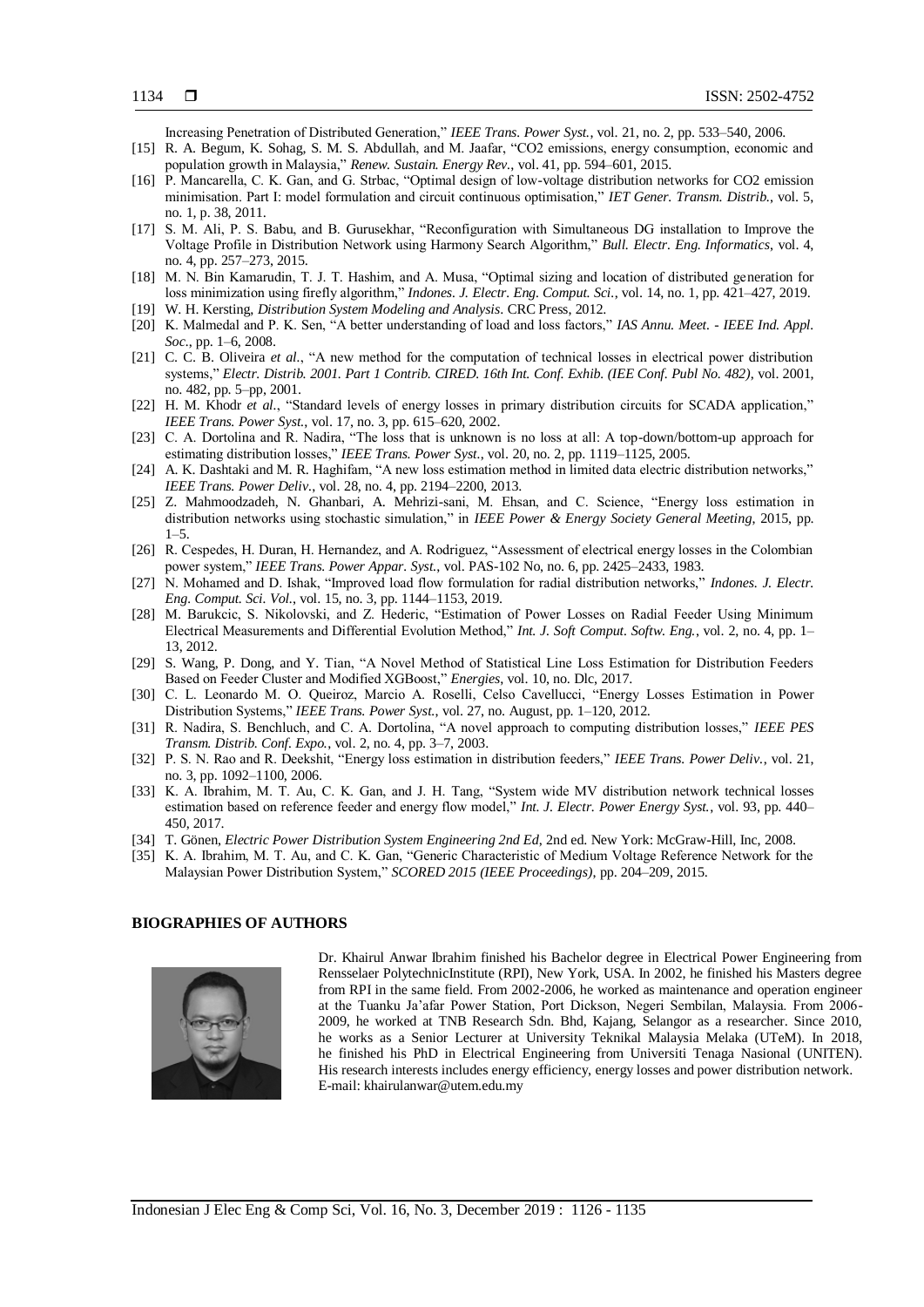Increasing Penetration of Distributed Generation," *IEEE Trans. Power Syst.*, vol. 21, no. 2, pp. 533–540, 2006.

- [15] R. A. Begum, K. Sohag, S. M. S. Abdullah, and M. Jaafar, "CO2 emissions, energy consumption, economic and population growth in Malaysia," *Renew. Sustain. Energy Rev.*, vol. 41, pp. 594–601, 2015.
- [16] P. Mancarella, C. K. Gan, and G. Strbac, "Optimal design of low-voltage distribution networks for CO2 emission minimisation. Part I: model formulation and circuit continuous optimisation," *IET Gener. Transm. Distrib.*, vol. 5, no. 1, p. 38, 2011.
- [17] S. M. Ali, P. S. Babu, and B. Gurusekhar, "Reconfiguration with Simultaneous DG installation to Improve the Voltage Profile in Distribution Network using Harmony Search Algorithm," *Bull. Electr. Eng. Informatics*, vol. 4, no. 4, pp. 257–273, 2015.
- [18] M. N. Bin Kamarudin, T. J. T. Hashim, and A. Musa, "Optimal sizing and location of distributed generation for loss minimization using firefly algorithm," *Indones. J. Electr. Eng. Comput. Sci.*, vol. 14, no. 1, pp. 421–427, 2019.
- [19] W. H. Kersting, *Distribution System Modeling and Analysis*. CRC Press, 2012.
- [20] K. Malmedal and P. K. Sen, "A better understanding of load and loss factors," *IAS Annu. Meet. - IEEE Ind. Appl. Soc.*, pp. 1–6, 2008.
- [21] C. C. B. Oliveira *et al.*, "A new method for the computation of technical losses in electrical power distribution systems," *Electr. Distrib. 2001. Part 1 Contrib. CIRED. 16th Int. Conf. Exhib. (IEE Conf. Publ No. 482)*, vol. 2001, no. 482, pp. 5–pp, 2001.
- [22] H. M. Khodr *et al.*, "Standard levels of energy losses in primary distribution circuits for SCADA application," *IEEE Trans. Power Syst.*, vol. 17, no. 3, pp. 615–620, 2002.
- [23] C. A. Dortolina and R. Nadira, "The loss that is unknown is no loss at all: A top-down/bottom-up approach for estimating distribution losses," *IEEE Trans. Power Syst.*, vol. 20, no. 2, pp. 1119–1125, 2005.
- [24] A. K. Dashtaki and M. R. Haghifam, "A new loss estimation method in limited data electric distribution networks," *IEEE Trans. Power Deliv.*, vol. 28, no. 4, pp. 2194–2200, 2013.
- [25] Z. Mahmoodzadeh, N. Ghanbari, A. Mehrizi-sani, M. Ehsan, and C. Science, "Energy loss estimation in distribution networks using stochastic simulation," in *IEEE Power & Energy Society General Meeting*, 2015, pp.  $1 - 5$ .
- [26] R. Cespedes, H. Duran, H. Hernandez, and A. Rodriguez, "Assessment of electrical energy losses in the Colombian power system," *IEEE Trans. Power Appar. Syst.*, vol. PAS-102 No, no. 6, pp. 2425–2433, 1983.
- [27] N. Mohamed and D. Ishak, "Improved load flow formulation for radial distribution networks," *Indones. J. Electr. Eng. Comput. Sci. Vol.*, vol. 15, no. 3, pp. 1144–1153, 2019.
- [28] M. Barukcic, S. Nikolovski, and Z. Hederic, "Estimation of Power Losses on Radial Feeder Using Minimum Electrical Measurements and Differential Evolution Method," *Int. J. Soft Comput. Softw. Eng.*, vol. 2, no. 4, pp. 1– 13, 2012.
- [29] S. Wang, P. Dong, and Y. Tian, "A Novel Method of Statistical Line Loss Estimation for Distribution Feeders Based on Feeder Cluster and Modified XGBoost," *Energies*, vol. 10, no. Dlc, 2017.
- [30] C. L. Leonardo M. O. Queiroz, Marcio A. Roselli, Celso Cavellucci, "Energy Losses Estimation in Power Distribution Systems," *IEEE Trans. Power Syst.*, vol. 27, no. August, pp. 1–120, 2012.
- [31] R. Nadira, S. Benchluch, and C. A. Dortolina, "A novel approach to computing distribution losses," *IEEE PES Transm. Distrib. Conf. Expo.*, vol. 2, no. 4, pp. 3–7, 2003.
- [32] P. S. N. Rao and R. Deekshit, "Energy loss estimation in distribution feeders," *IEEE Trans. Power Deliv.*, vol. 21, no. 3, pp. 1092–1100, 2006.
- [33] K. A. Ibrahim, M. T. Au, C. K. Gan, and J. H. Tang, "System wide MV distribution network technical losses estimation based on reference feeder and energy flow model," *Int. J. Electr. Power Energy Syst.*, vol. 93, pp. 440– 450, 2017.
- [34] T. Gönen, *Electric Power Distribution System Engineering 2nd Ed*, 2nd ed. New York: McGraw-Hill, Inc, 2008.
- [35] K. A. Ibrahim, M. T. Au, and C. K. Gan, "Generic Characteristic of Medium Voltage Reference Network for the Malaysian Power Distribution System," *SCORED 2015 (IEEE Proceedings)*, pp. 204–209, 2015.

#### **BIOGRAPHIES OF AUTHORS**



Dr. Khairul Anwar Ibrahim finished his Bachelor degree in Electrical Power Engineering from Rensselaer PolytechnicInstitute (RPI), New York, USA. In 2002, he finished his Masters degree from RPI in the same field. From 2002-2006, he worked as maintenance and operation engineer at the Tuanku Ja'afar Power Station, Port Dickson, Negeri Sembilan, Malaysia. From 2006- 2009, he worked at TNB Research Sdn. Bhd, Kajang, Selangor as a researcher. Since 2010, he works as a Senior Lecturer at University Teknikal Malaysia Melaka (UTeM). In 2018, he finished his PhD in Electrical Engineering from Universiti Tenaga Nasional (UNITEN). His research interests includes energy efficiency, energy losses and power distribution network. E-mail: khairulanwar@utem.edu.my